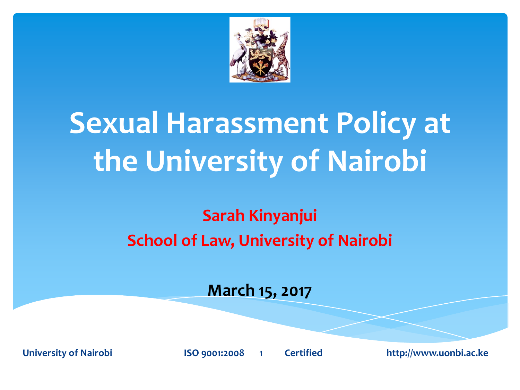

#### **Sexual Harassment Policy at the University of Nairobi**

#### **Sarah Kinyanjui School of Law, University of Nairobi**

#### **March 15, 2017**

**University of Nairobi ISO 9001:2008 1 Certified http://www.uonbi.ac.ke**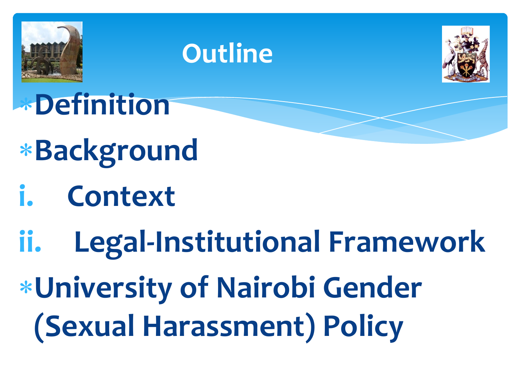

#### **Outline**



**Definition**

- **Background**
- **i. Context**
- **ii. Legal-Institutional Framework**
- **University of Nairobi Gender (Sexual Harassment) Policy**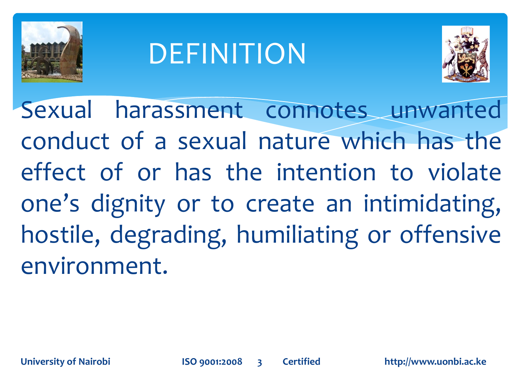

#### DEFINITION



Sexual harassment connotes unwanted conduct of a sexual nature which has the effect of or has the intention to violate one's dignity or to create an intimidating, hostile, degrading, humiliating or offensive environment.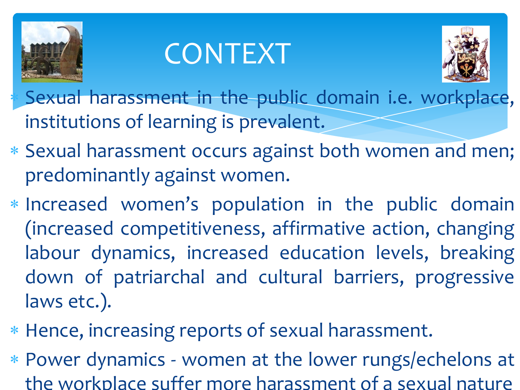

#### CONTEXT



 Sexual harassment in the public domain i.e. workplace, institutions of learning is prevalent.

- Sexual harassment occurs against both women and men; predominantly against women.
- Increased women's population in the public domain (increased competitiveness, affirmative action, changing labour dynamics, increased education levels, breaking down of patriarchal and cultural barriers, progressive laws etc.).
- Hence, increasing reports of sexual harassment.
- Power dynamics women at the lower rungs/echelons at the workplace suffer more harassment of a sexual nature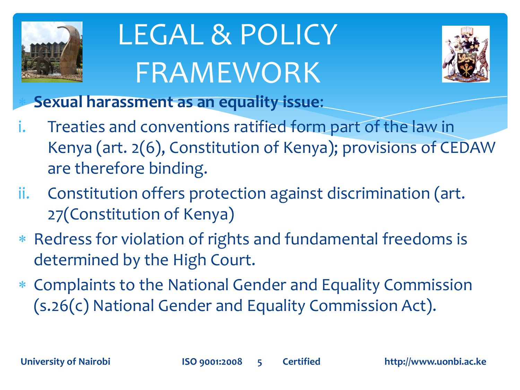

# LEGAL & POLICY FRAMEWORK



**Sexual harassment as an equality issue**:

- i. Treaties and conventions ratified form part of the law in Kenya (art. 2(6), Constitution of Kenya); provisions of CEDAW are therefore binding.
- ii. Constitution offers protection against discrimination (art. 27(Constitution of Kenya)
- \* Redress for violation of rights and fundamental freedoms is determined by the High Court.
- Complaints to the National Gender and Equality Commission (s.26(c) National Gender and Equality Commission Act).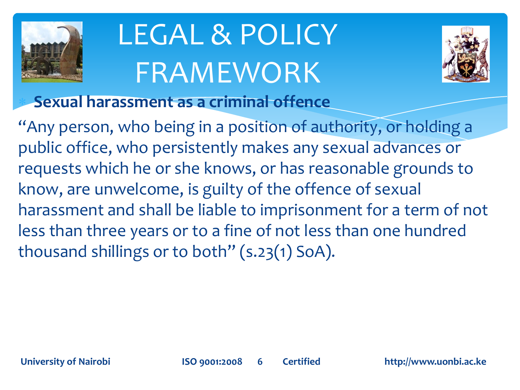

# LEGAL & POLICY FRAMEWORK



**Sexual harassment as a criminal offence** 

"Any person, who being in a position of authority, or holding a public office, who persistently makes any sexual advances or requests which he or she knows, or has reasonable grounds to know, are unwelcome, is guilty of the offence of sexual harassment and shall be liable to imprisonment for a term of not less than three years or to a fine of not less than one hundred thousand shillings or to both" (s.23(1) SoA).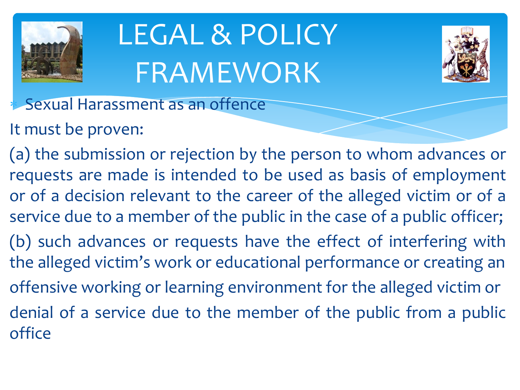

# LEGAL & POLICY FRAMEWORK



- Sexual Harassment as an offence
- It must be proven:
- (a) the submission or rejection by the person to whom advances or requests are made is intended to be used as basis of employment or of a decision relevant to the career of the alleged victim or of a service due to a member of the public in the case of a public officer;
- (b) such advances or requests have the effect of interfering with the alleged victim's work or educational performance or creating an offensive working or learning environment for the alleged victim or denial of a service due to the member of the public from a public
- office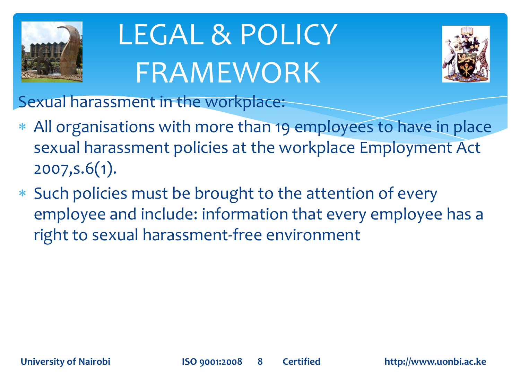

# LEGAL & POLICY FRAMEWORK



Sexual harassment in the workplace:

- All organisations with more than 19 employees to have in place sexual harassment policies at the workplace Employment Act 2007,s.6(1).
- Such policies must be brought to the attention of every employee and include: information that every employee has a right to sexual harassment-free environment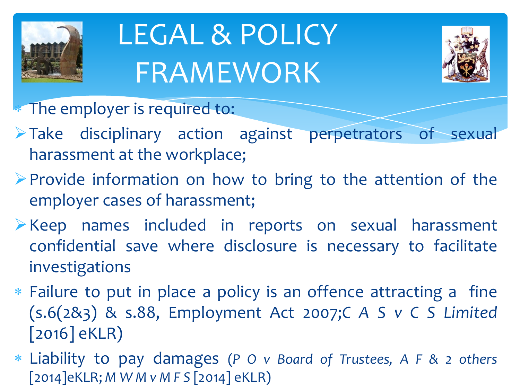

## LEGAL & POLICY FRAMEWORK



**The employer is required to:** 

- Take disciplinary action against perpetrators of sexual harassment at the workplace;
- $\triangleright$  Provide information on how to bring to the attention of the employer cases of harassment;
- Keep names included in reports on sexual harassment confidential save where disclosure is necessary to facilitate investigations
- Failure to put in place a policy is an offence attracting a fine (s.6(2&3) & s.88, Employment Act 2007;*C A S v C S Limited* [2016] eKLR)
- Liability to pay damages (*P O v Board of Trustees, A F & 2 others* [2014]eKLR; *M W M v M F S* [2014] eKLR)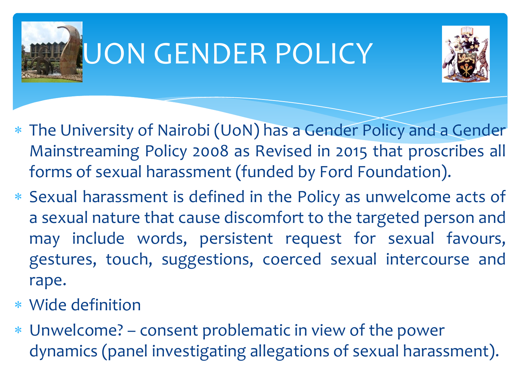

#### UON GENDER POLICY



- The University of Nairobi (UoN) has a Gender Policy and a Gender Mainstreaming Policy 2008 as Revised in 2015 that proscribes all forms of sexual harassment (funded by Ford Foundation).
- Sexual harassment is defined in the Policy as unwelcome acts of a sexual nature that cause discomfort to the targeted person and may include words, persistent request for sexual favours, gestures, touch, suggestions, coerced sexual intercourse and rape.
- Wide definition
- Unwelcome? consent problematic in view of the power dynamics (panel investigating allegations of sexual harassment).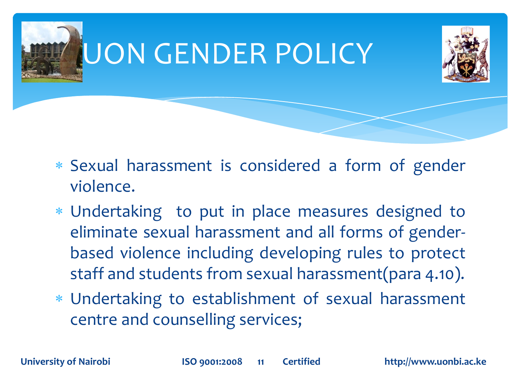

- Sexual harassment is considered a form of gender violence.
- Undertaking to put in place measures designed to eliminate sexual harassment and all forms of genderbased violence including developing rules to protect staff and students from sexual harassment(para 4.10).
- Undertaking to establishment of sexual harassment centre and counselling services;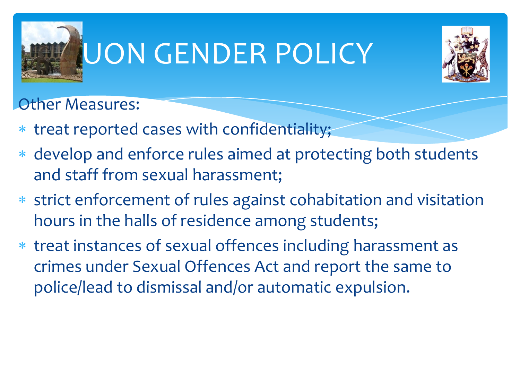

#### UON GENDER POLICY



Other Measures:

- \* treat reported cases with confidentiality;
- \* develop and enforce rules aimed at protecting both students and staff from sexual harassment;
- strict enforcement of rules against cohabitation and visitation hours in the halls of residence among students;
- treat instances of sexual offences including harassment as crimes under Sexual Offences Act and report the same to police/lead to dismissal and/or automatic expulsion.